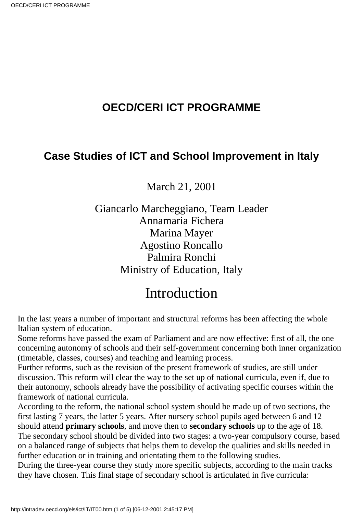## **OECD/CERI ICT PROGRAMME**

## **Case Studies of ICT and School Improvement in Italy**

March 21, 2001

Giancarlo Marcheggiano, Team Leader Annamaria Fichera Marina Mayer Agostino Roncallo Palmira Ronchi Ministry of Education, Italy

## Introduction

In the last years a number of important and structural reforms has been affecting the whole Italian system of education.

Some reforms have passed the exam of Parliament and are now effective: first of all, the one concerning autonomy of schools and their self-government concerning both inner organization (timetable, classes, courses) and teaching and learning process.

Further reforms, such as the revision of the present framework of studies, are still under discussion. This reform will clear the way to the set up of national curricula, even if, due to their autonomy, schools already have the possibility of activating specific courses within the framework of national curricula.

According to the reform, the national school system should be made up of two sections, the first lasting 7 years, the latter 5 years. After nursery school pupils aged between 6 and 12 should attend **primary schools**, and move then to **secondary schools** up to the age of 18. The secondary school should be divided into two stages: a two-year compulsory course, based on a balanced range of subjects that helps them to develop the qualities and skills needed in further education or in training and orientating them to the following studies.

During the three-year course they study more specific subjects, according to the main tracks they have chosen. This final stage of secondary school is articulated in five curricula: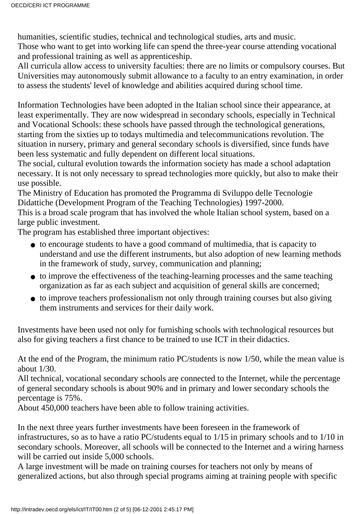humanities, scientific studies, technical and technological studies, arts and music.

Those who want to get into working life can spend the three-year course attending vocational and professional training as well as apprenticeship.

All curricula allow access to university faculties: there are no limits or compulsory courses. But Universities may autonomously submit allowance to a faculty to an entry examination, in order to assess the students' level of knowledge and abilities acquired during school time.

Information Technologies have been adopted in the Italian school since their appearance, at least experimentally. They are now widespread in secondary schools, especially in Technical and Vocational Schools: these schools have passed through the technological generations, starting from the sixties up to todays multimedia and telecommunications revolution. The situation in nursery, primary and general secondary schools is diversified, since funds have been less systematic and fully dependent on different local situations.

The social, cultural evolution towards the information society has made a school adaptation necessary. It is not only necessary to spread technologies more quickly, but also to make their use possible.

The Ministry of Education has promoted the Programma di Sviluppo delle Tecnologie Didattiche (Development Program of the Teaching Technologies) 1997-2000.

This is a broad scale program that has involved the whole Italian school system, based on a large public investment.

The program has established three important objectives:

- to encourage students to have a good command of multimedia, that is capacity to understand and use the different instruments, but also adoption of new learning methods in the framework of study, survey, communication and planning;
- to improve the effectiveness of the teaching-learning processes and the same teaching organization as far as each subject and acquisition of general skills are concerned;
- to improve teachers professionalism not only through training courses but also giving them instruments and services for their daily work.

Investments have been used not only for furnishing schools with technological resources but also for giving teachers a first chance to be trained to use ICT in their didactics.

At the end of the Program, the minimum ratio PC/students is now 1/50, while the mean value is about 1/30.

All technical, vocational secondary schools are connected to the Internet, while the percentage of general secondary schools is about 90% and in primary and lower secondary schools the percentage is 75%.

About 450,000 teachers have been able to follow training activities.

In the next three years further investments have been foreseen in the framework of infrastructures, so as to have a ratio PC/students equal to 1/15 in primary schools and to 1/10 in secondary schools. Moreover, all schools will be connected to the Internet and a wiring harness will be carried out inside 5,000 schools.

A large investment will be made on training courses for teachers not only by means of generalized actions, but also through special programs aiming at training people with specific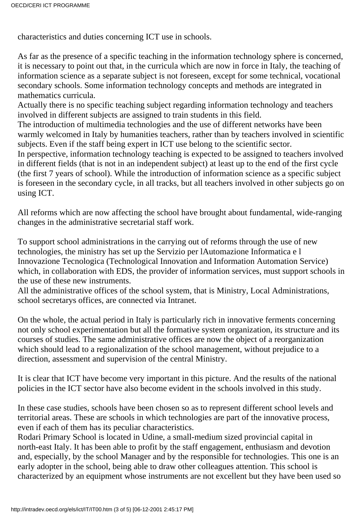characteristics and duties concerning ICT use in schools.

As far as the presence of a specific teaching in the information technology sphere is concerned, it is necessary to point out that, in the curricula which are now in force in Italy, the teaching of information science as a separate subject is not foreseen, except for some technical, vocational secondary schools. Some information technology concepts and methods are integrated in mathematics curricula.

Actually there is no specific teaching subject regarding information technology and teachers involved in different subjects are assigned to train students in this field.

The introduction of multimedia technologies and the use of different networks have been warmly welcomed in Italy by humanities teachers, rather than by teachers involved in scientific subjects. Even if the staff being expert in ICT use belong to the scientific sector.

In perspective, information technology teaching is expected to be assigned to teachers involved in different fields (that is not in an independent subject) at least up to the end of the first cycle (the first 7 years of school). While the introduction of information science as a specific subject is foreseen in the secondary cycle, in all tracks, but all teachers involved in other subjects go on using ICT.

All reforms which are now affecting the school have brought about fundamental, wide-ranging changes in the administrative secretarial staff work.

To support school administrations in the carrying out of reforms through the use of new technologies, the ministry has set up the Servizio per lAutomazione Informatica e l Innovazione Tecnologica (Technological Innovation and Information Automation Service) which, in collaboration with EDS, the provider of information services, must support schools in the use of these new instruments.

All the administrative offices of the school system, that is Ministry, Local Administrations, school secretary s offices, are connected via Intranet.

On the whole, the actual period in Italy is particularly rich in innovative ferments concerning not only school experimentation but all the formative system organization, its structure and its courses of studies. The same administrative offices are now the object of a reorganization which should lead to a regionalization of the school management, without prejudice to a direction, assessment and supervision of the central Ministry.

It is clear that ICT have become very important in this picture. And the results of the national policies in the ICT sector have also become evident in the schools involved in this study.

In these case studies, schools have been chosen so as to represent different school levels and territorial areas. These are schools in which technologies are part of the innovative process, even if each of them has its peculiar characteristics.

Rodari Primary School is located in Udine, a small-medium sized provincial capital in north-east Italy. It has been able to profit by the staff engagement, enthusiasm and devotion and, especially, by the school Manager and by the responsible for technologies. This one is an early adopter in the school, being able to draw other colleagues attention. This school is characterized by an equipment whose instruments are not excellent but they have been used so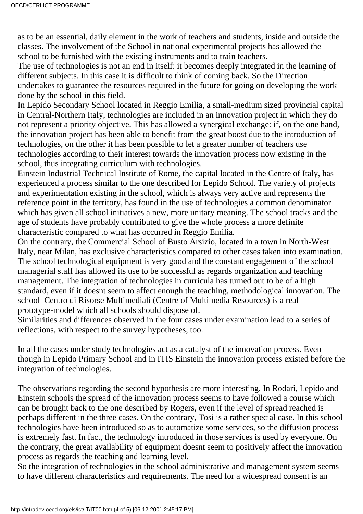as to be an essential, daily element in the work of teachers and students, inside and outside the classes. The involvement of the School in national experimental projects has allowed the school to be furnished with the existing instruments and to train teachers.

The use of technologies is not an end in itself: it becomes deeply integrated in the learning of different subjects. In this case it is difficult to think of coming back. So the Direction undertakes to guarantee the resources required in the future for going on developing the work done by the school in this field.

In Lepido Secondary School located in Reggio Emilia, a small-medium sized provincial capital in Central-Northern Italy, technologies are included in an innovation project in which they do not represent a priority objective. This has allowed a synergical exchange: if, on the one hand, the innovation project has been able to benefit from the great boost due to the introduction of technologies, on the other it has been possible to let a greater number of teachers use technologies according to their interest towards the innovation process now existing in the school, thus integrating curriculum with technologies.

Einstein Industrial Technical Institute of Rome, the capital located in the Centre of Italy, has experienced a process similar to the one described for Lepido School. The variety of projects and experimentation existing in the school, which is always very active and represents the reference point in the territory, has found in the use of technologies a common denominator which has given all school initiatives a new, more unitary meaning. The school tracks and the age of students have probably contributed to give the whole process a more definite characteristic compared to what has occurred in Reggio Emilia.

On the contrary, the Commercial School of Busto Arsizio, located in a town in North-West Italy, near Milan, has exclusive characteristics compared to other cases taken into examination. The school technological equipment is very good and the constant engagement of the school managerial staff has allowed its use to be successful as regards organization and teaching management. The integration of technologies in curricula has turned out to be of a high standard, even if it doesn t seem to affect enough the teaching, methodological innovation. The school Centro di Risorse Multimediali (Centre of Multimedia Resources) is a real prototype-model which all schools should dispose of.

Similarities and differences observed in the four cases under examination lead to a series of reflections, with respect to the survey hypotheses, too.

In all the cases under study technologies act as a catalyst of the innovation process. Even though in Lepido Primary School and in ITIS Einstein the innovation process existed before the integration of technologies.

The observations regarding the second hypothesis are more interesting. In Rodari, Lepido and Einstein schools the spread of the innovation process seems to have followed a course which can be brought back to the one described by Rogers, even if the level of spread reached is perhaps different in the three cases. On the contrary, Tosi is a rather special case. In this school technologies have been introduced so as to automatize some services, so the diffusion process is extremely fast. In fact, the technology introduced in those services is used by everyone. On the contrary, the great availability of equipment doesnt seem to positively affect the innovation process as regards the teaching and learning level.

So the integration of technologies in the school administrative and management system seems to have different characteristics and requirements. The need for a widespread consent is an